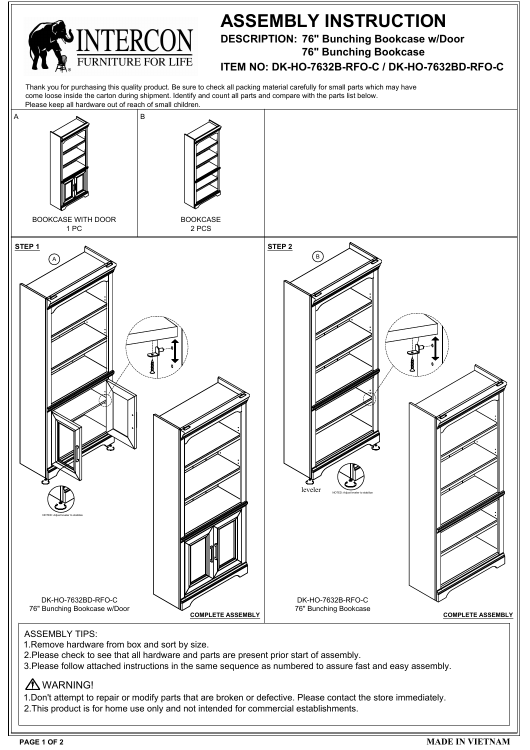

## **ASSEMBLY INSTRUCTION**

**DESCRIPTION: 76" Bunching Bookcase w/Door**

**76" Bunching Bookcase**

**ITEM NO: DK-HO-7632B-RFO-C / DK-HO-7632BD-RFO-C**

Thank you for purchasing this quality product. Be sure to check all packing material carefully for small parts which may have come loose inside the carton during shipment. Identify and count all parts and compare with the parts list below.



- 1.Remove hardware from box and sort by size.
- 2.Please check to see that all hardware and parts are present prior start of assembly.
- 3.Please follow attached instructions in the same sequence as numbered to assure fast and easy assembly.

## A WARNING!

1.Don't attempt to repair or modify parts that are broken or defective. Please contact the store immediately. 2.This product is for home use only and not intended for commercial establishments.